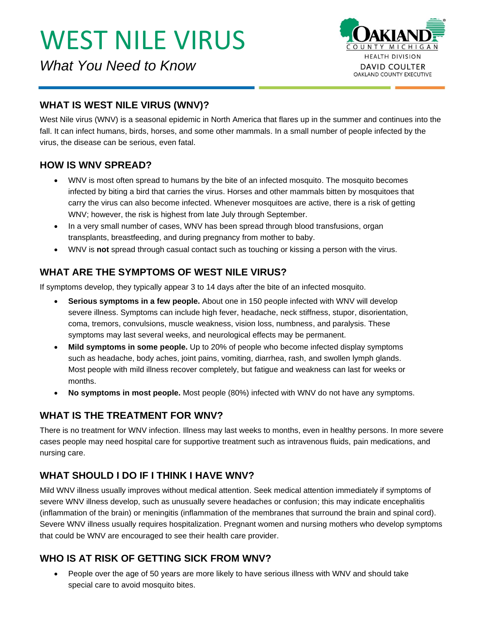*What You Need to Know*



# **WHAT IS WEST NILE VIRUS (WNV)?**

West Nile virus (WNV) is a seasonal epidemic in North America that flares up in the summer and continues into the fall. It can infect humans, birds, horses, and some other mammals. In a small number of people infected by the virus, the disease can be serious, even fatal.

### **HOW IS WNV SPREAD?**

- WNV is most often spread to humans by the bite of an infected mosquito. The mosquito becomes infected by biting a bird that carries the virus. Horses and other mammals bitten by mosquitoes that carry the virus can also become infected. Whenever mosquitoes are active, there is a risk of getting WNV; however, the risk is highest from late July through September.
- In a very small number of cases, WNV has been spread through blood transfusions, organ transplants, breastfeeding, and during pregnancy from mother to baby.
- WNV is **not** spread through casual contact such as touching or kissing a person with the virus.

# **WHAT ARE THE SYMPTOMS OF WEST NILE VIRUS?**

If symptoms develop, they typically appear 3 to 14 days after the bite of an infected mosquito.

- **Serious symptoms in a few people.** About one in 150 people infected with WNV will develop severe illness. Symptoms can include high fever, headache, neck stiffness, stupor, disorientation, coma, tremors, convulsions, muscle weakness, vision loss, numbness, and paralysis. These symptoms may last several weeks, and neurological effects may be permanent.
- **Mild symptoms in some people.** Up to 20% of people who become infected display symptoms such as headache, body aches, joint pains, vomiting, diarrhea, rash, and swollen lymph glands. Most people with mild illness recover completely, but fatigue and weakness can last for weeks or months.
- **No symptoms in most people.** Most people (80%) infected with WNV do not have any symptoms.

# **WHAT IS THE TREATMENT FOR WNV?**

There is no treatment for WNV infection. Illness may last weeks to months, even in healthy persons. In more severe cases people may need hospital care for supportive treatment such as intravenous fluids, pain medications, and nursing care.

# **WHAT SHOULD I DO IF I THINK I HAVE WNV?**

Mild WNV illness usually improves without medical attention. Seek medical attention immediately if symptoms of severe WNV illness develop, such as unusually severe headaches or confusion; this may indicate encephalitis (inflammation of the brain) or meningitis (inflammation of the membranes that surround the brain and spinal cord). Severe WNV illness usually requires hospitalization. Pregnant women and nursing mothers who develop symptoms that could be WNV are encouraged to see their health care provider.

# **WHO IS AT RISK OF GETTING SICK FROM WNV?**

• People over the age of 50 years are more likely to have serious illness with WNV and should take special care to avoid mosquito bites.